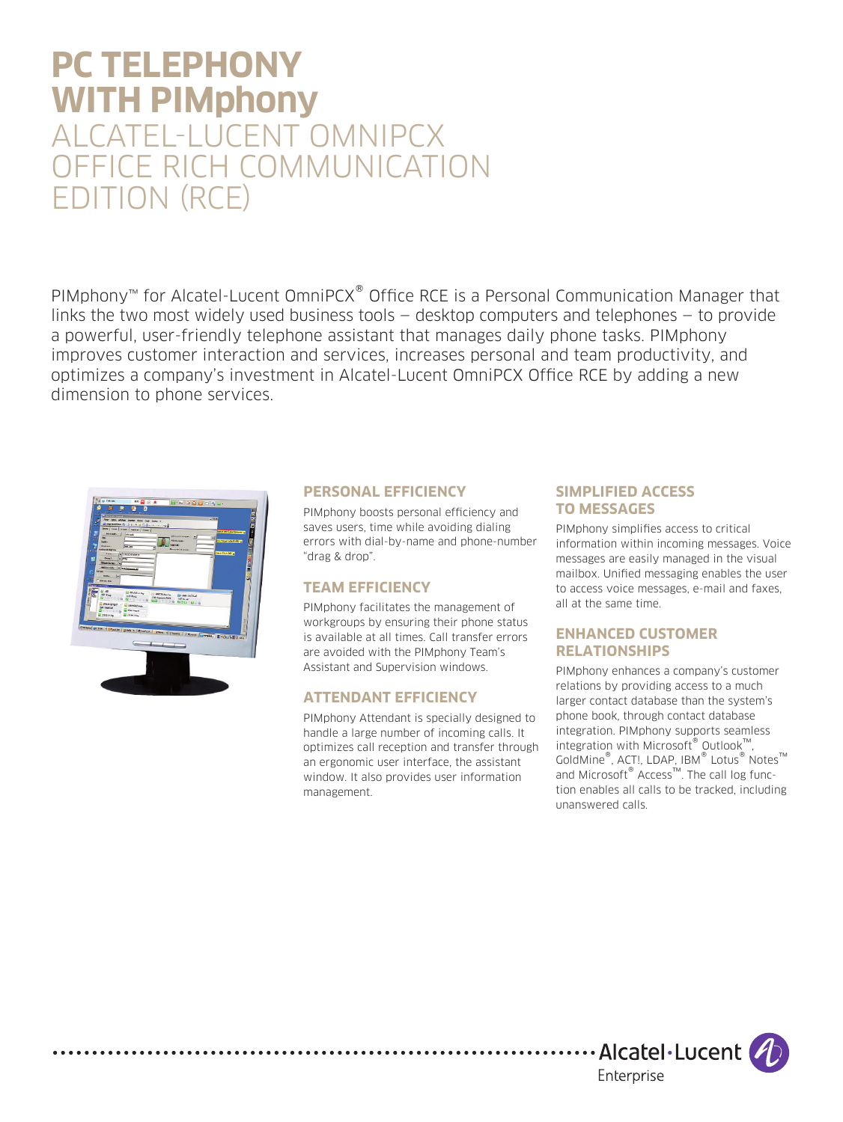# **PC TELEPHONY WITH PIMphony** ALCATEL-LUCENT OMNIPCX OFFICE RICH COMMUNICATION EDITION (RCE)

PIMphony™ for Alcatel-Lucent OmniPCX® Office RCE is a Personal Communication Manager that links the two most widely used business tools — desktop computers and telephones — to provide a powerful, user-friendly telephone assistant that manages daily phone tasks. PIMphony improves customer interaction and services, increases personal and team productivity, and optimizes a company's investment in Alcatel-Lucent OmniPCX Office RCE by adding a new dimension to phone services.



. . . . . . . . . . . . . . . .

## **PERSONAL EFFICIENCY**

PIMphony boosts personal efficiency and saves users, time while avoiding dialing errors with dial-by-name and phone-number "drag & drop".

# **TEAM EFFICIENCY**

PIMphony facilitates the management of workgroups by ensuring their phone status is available at all times. Call transfer errors are avoided with the PIMphony Team's Assistant and Supervision windows.

### **ATTENDANT EFFICIENCY**

PIMphony Attendant is specially designed to handle a large number of incoming calls. It optimizes call reception and transfer through an ergonomic user interface, the assistant window. It also provides user information management.

## **SIMPLIFIED ACCESS TO MESSAGES**

PIMphony simplifies access to critical information within incoming messages. Voice messages are easily managed in the visual mailbox. Unified messaging enables the user to access voice messages, e-mail and faxes, all at the same time.

#### **ENHANCED CUSTOMER RELATIONSHIPS**

PIMphony enhances a company's customer relations by providing access to a much larger contact database than the system's phone book, through contact database integration. PIMphony supports seamless integration with Microsoft® Outlook™, GoldMine®, ACT!, LDAP, IBM® Lotus® Notes™ and Microsoft<sup>®</sup> Access<sup>™</sup>. The call log function enables all calls to be tracked, including unanswered calls.

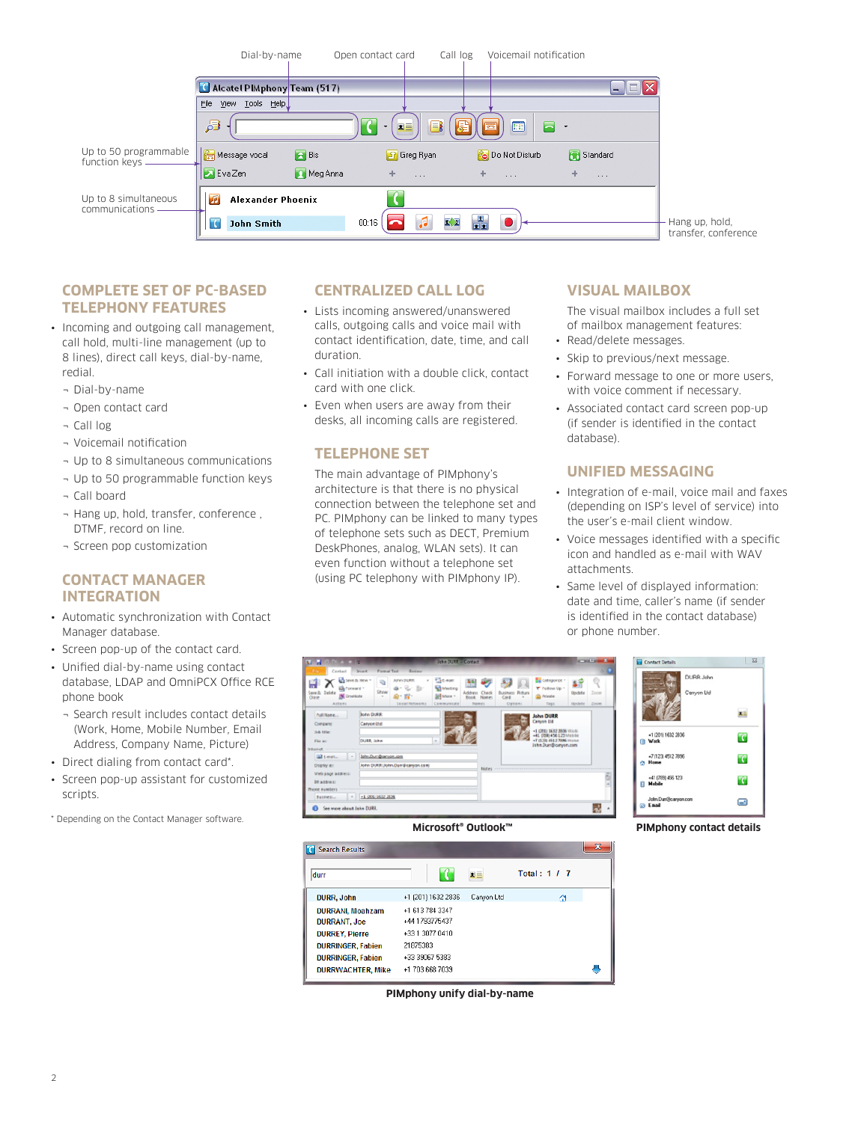

## **COMPLETE SET OF PC-BASED TELEPHONY FEATURES**

- Incoming and outgoing call management, call hold, multi-line management (up to 8 lines), direct call keys, dial-by-name, redial.
	- ¬ Dial-by-name
	- ¬ Open contact card
	- ¬ Call log
	- ¬ Voicemail notification
	- ¬ Up to 8 simultaneous communications
	- ¬ Up to 50 programmable function keys
	- ¬ Call board
	- ¬ Hang up, hold, transfer, conference , DTMF, record on line.
	- ¬ Screen pop customization

## **CONTACT MANAGER INTEGRATION**

- Automatic synchronization with Contact Manager database.
- Screen pop-up of the contact card.
- Unified dial-by-name using contact database, LDAP and OmniPCX Office RCE phone book
	- ¬ Search result includes contact details (Work, Home, Mobile Number, Email Address, Company Name, Picture)
- Direct dialing from contact card\*.
- Screen pop-up assistant for customized scripts.
- \* Depending on the Contact Manager software.

## **CENTRALIZED CALL LOG**

- Lists incoming answered/unanswered calls, outgoing calls and voice mail with contact identification, date, time, and call duration.
- Call initiation with a double click, contact card with one click.
- Even when users are away from their desks, all incoming calls are registered.

### **TELEPHONE SET**

The main advantage of PIMphony's architecture is that there is no physical connection between the telephone set and PC. PIMphony can be linked to many types of telephone sets such as DECT, Premium DeskPhones, analog, WLAN sets). It can even function without a telephone set (using PC telephony with PIMphony IP).

## **VISUAL MAILBOX**

The visual mailbox includes a full set of mailbox management features:

- Read/delete messages.
- Skip to previous/next message.
- Forward message to one or more users, with voice comment if necessary.
- Associated contact card screen pop-up (if sender is identified in the contact database).

# **UNIFIED MESSAGING**

- Integration of e-mail, voice mail and faxes (depending on ISP's level of service) into the user's e-mail client window.
- Voice messages identified with a specific icon and handled as e-mail with WAV attachments.
- Same level of displayed information: date and time, caller's name (if sender is identified in the contact database) or phone number.





| <b>Search Results</b><br>H. |                    |              |              | $\mathbf x$ |
|-----------------------------|--------------------|--------------|--------------|-------------|
| durr                        |                    | $\mathbf{z}$ | Total: 1 / 7 |             |
| <b>DURR, John</b>           | +1 (201) 1632 2836 | Canyon Ltd   | Ω            |             |
| <b>DURRANI, Moahzam</b>     | +1 613 784 3347    |              |              |             |
| <b>DURRANT, Joe</b>         | +44 1793775437     |              |              |             |
| <b>DURREY, Pierre</b>       | +33 1 3077 0410    |              |              |             |
| <b>DURRINGER, Fabien</b>    | 21875383           |              |              |             |
| <b>DURRINGER, Fabien</b>    | +33 39067 5383     |              |              |             |
| <b>DURRWACHTER, Mike</b>    | +1 703 668 7039    |              |              |             |

**PIMphony unify dial-by-name**



**Microsoft® Outlook™ PIMphony contact details**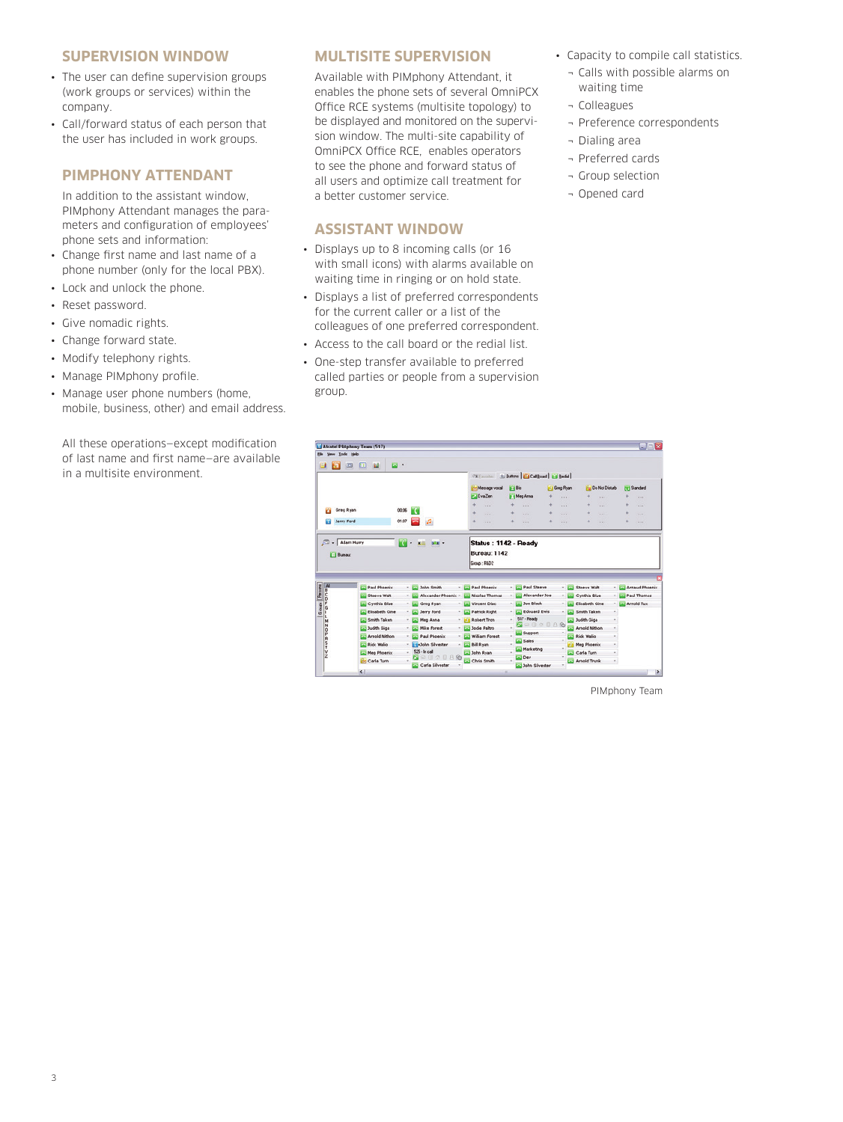#### **SUPERVISION WINDOW**

- The user can define supervision groups (work groups or services) within the company.
- Call/forward status of each person that the user has included in work groups.

## **PIMPHONY ATTENDANT**

In addition to the assistant window, PIMphony Attendant manages the parameters and configuration of employees' phone sets and information:

- Change first name and last name of a phone number (only for the local PBX).
- Lock and unlock the phone.
- Reset password.
- Give nomadic rights.
- Change forward state.
- Modify telephony rights.
- Manage PIMphony profile.
- Manage user phone numbers (home, mobile, business, other) and email address.

All these operations—except modification of last name and first name—are available in a multisite environment.

## **MULTISITE SUPERVISION**

Available with PIMphony Attendant, it enables the phone sets of several OmniPCX Office RCE systems (multisite topology) to be displayed and monitored on the supervision window. The multi-site capability of OmniPCX Office RCE, enables operators to see the phone and forward status of all users and optimize call treatment for a better customer service.

#### **ASSISTANT WINDOW**

- Displays up to 8 incoming calls (or 16 with small icons) with alarms available on waiting time in ringing or on hold state.
- Displays a list of preferred correspondents for the current caller or a list of the colleagues of one preferred correspondent.
- Access to the call board or the redial list.
- One-step transfer available to preferred called parties or people from a supervision group.
- Capacity to compile call statistics.
	- ¬ Calls with possible alarms on waiting time
- ¬ Colleagues
- ¬ Preference correspondents
- ¬ Dialing area
- ¬ Preferred cards
- ¬ Group selection
- ¬ Opened card

| Elle Yew Iools Help                                                                                                                                                                                                                                                                                                                                                                          | Alcatel Plkiphony Team (517) |       |                                 |                                       |   |                                       |                       |                                    |                            |   | $\blacksquare$ e $\times$ |
|----------------------------------------------------------------------------------------------------------------------------------------------------------------------------------------------------------------------------------------------------------------------------------------------------------------------------------------------------------------------------------------------|------------------------------|-------|---------------------------------|---------------------------------------|---|---------------------------------------|-----------------------|------------------------------------|----------------------------|---|---------------------------|
| Ð<br>ш                                                                                                                                                                                                                                                                                                                                                                                       | ы.<br>$\Xi$<br>ш<br>$\Box$   |       |                                 |                                       |   |                                       |                       |                                    |                            |   |                           |
|                                                                                                                                                                                                                                                                                                                                                                                              |                              |       |                                 | <b>VE Favories</b>                    |   | E Buttons   [ ] Cal Board   E   Bedal |                       |                                    |                            |   |                           |
|                                                                                                                                                                                                                                                                                                                                                                                              |                              |       |                                 | Message vocal                         |   | E Bis                                 | <b>IF3 Greg Flyan</b> |                                    | <b>Fig. Do Not Disturb</b> |   | [9] Standard              |
|                                                                                                                                                                                                                                                                                                                                                                                              |                              |       |                                 | <b>P.J Eva Zen</b>                    |   | Fill Meg Arms                         | 4<br>111              |                                    | 111                        | 4 | 18.00                     |
|                                                                                                                                                                                                                                                                                                                                                                                              |                              |       |                                 | 1.11                                  | ۰ | 1.11                                  | ÷<br>1.11             | ×                                  | 1.11                       | ÷ | <b>ALL</b>                |
| o                                                                                                                                                                                                                                                                                                                                                                                            | Greg Ryan                    | 00:06 | TC.                             | $-111$                                | ÷ | $-111$                                | ٠<br>$-1$             | ÷                                  | 1.11                       | ÷ | $-$                       |
| Jerry Ford<br>ш                                                                                                                                                                                                                                                                                                                                                                              |                              | 01:07 | $\mathcal{L}$<br>œ              | $-0.01$                               | ÷ | 1.11                                  | ÷<br>111              | ×                                  | 111                        | ٠ | <b>HALL</b>               |
| <b>ITI Buenu</b>                                                                                                                                                                                                                                                                                                                                                                             |                              |       |                                 | <b>Bureau: 1142</b><br>Group: R&D2    |   |                                       |                       |                                    |                            |   |                           |
|                                                                                                                                                                                                                                                                                                                                                                                              |                              |       | ▭                               |                                       |   |                                       |                       |                                    |                            |   |                           |
|                                                                                                                                                                                                                                                                                                                                                                                              | Paul Phoenix<br>Steeve Walt  |       | John Smith<br>Alexander Phoenix | <b>Paul Phoenix</b><br>Nicolas Thomas |   | Paul Steeve<br>Alexander Joe          |                       | <b>Steeve Walt</b><br>Cynthia Blue |                            |   |                           |
|                                                                                                                                                                                                                                                                                                                                                                                              | Cynthia Blue                 |       | Greg Ryan                       | Vincent Diac                          |   | Joe Black                             |                       | Elisabeth Gine                     |                            |   | Arnold Tux                |
|                                                                                                                                                                                                                                                                                                                                                                                              | Elisabeth Gine               |       | Jerry Ford                      | <b>Patrick Right</b>                  |   | <b>Edouard Ewis</b>                   |                       | Smith Taken                        |                            |   |                           |
| Ĩй                                                                                                                                                                                                                                                                                                                                                                                           | Smith Taken                  |       | Meg Anna                        | Robert Tron                           |   | 517 - Ready                           |                       | <b>Lad Judith Giga</b>             |                            |   | <b>Paul Thomas</b>        |
|                                                                                                                                                                                                                                                                                                                                                                                              | <b>LLI Judith Gioa</b>       |       | <b>Mike Forest</b>              | Jodie Paltro                          |   | o<br>æ                                | 0208                  | Arnold Nithon                      |                            |   |                           |
| <b>Nauga</b>                                                                                                                                                                                                                                                                                                                                                                                 | <b>Arnold Nithon</b>         |       | <b>Paul Phoenix</b>             | <b>William Forest</b>                 |   | Support                               |                       | Rick Walio                         |                            |   |                           |
| $\frac{1}{n} \frac{1}{n} \frac{1}{n} \left[ \frac{1}{n} \frac{1}{n} \frac{1}{n} \frac{1}{n} \frac{1}{n} \frac{1}{n} \frac{1}{n} \frac{1}{n} \frac{1}{n} \frac{1}{n} \frac{1}{n} \frac{1}{n} \frac{1}{n} \frac{1}{n} \frac{1}{n} \frac{1}{n} \frac{1}{n} \frac{1}{n} \frac{1}{n} \frac{1}{n} \frac{1}{n} \frac{1}{n} \frac{1}{n} \frac{1}{n} \frac{1}{n} \frac{1}{n} \frac{1}{n} \frac{1}{n}$ | <b>Existe Wallo</b>          |       | <b>Ed-John Silvester</b>        | <b>Bill Ryan</b>                      |   | Sales                                 |                       | <b>Meg Phoenix</b>                 |                            |   |                           |
|                                                                                                                                                                                                                                                                                                                                                                                              | Meg Phoenix                  |       | 525 - In call                   | John Ryan                             |   | Marketing                             |                       | Carla Turn                         |                            |   | <b>Arnaud Phoenix</b>     |
| N<<<<br>xxxxx                                                                                                                                                                                                                                                                                                                                                                                | <b>Carla Turn</b>            |       | 83.D<br>只见<br>Carla Silvester   | Chris Smith                           |   | <b>Dev</b><br>John Silvester          |                       | Arnold Trunk                       |                            |   |                           |

PIMphony Team